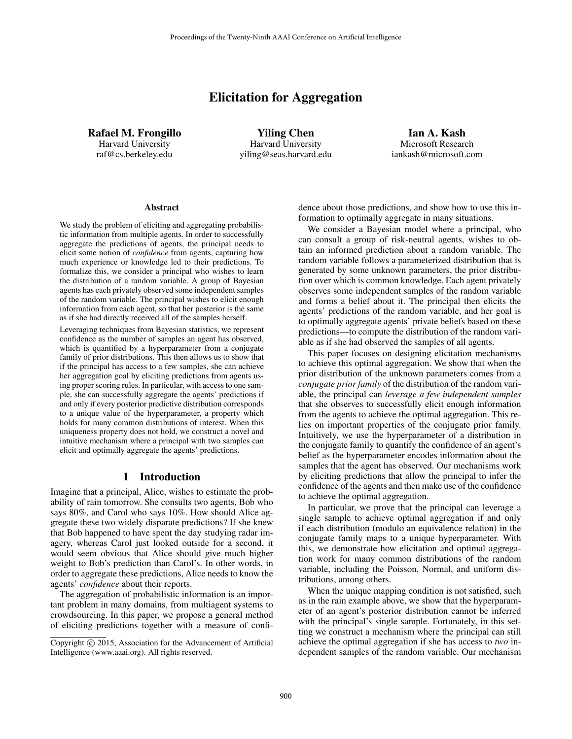# Elicitation for Aggregation

Rafael M. Frongillo Harvard University raf@cs.berkeley.edu

Yiling Chen Harvard University yiling@seas.harvard.edu

Ian A. Kash Microsoft Research iankash@microsoft.com

#### Abstract

We study the problem of eliciting and aggregating probabilistic information from multiple agents. In order to successfully aggregate the predictions of agents, the principal needs to elicit some notion of *confidence* from agents, capturing how much experience or knowledge led to their predictions. To formalize this, we consider a principal who wishes to learn the distribution of a random variable. A group of Bayesian agents has each privately observed some independent samples of the random variable. The principal wishes to elicit enough information from each agent, so that her posterior is the same as if she had directly received all of the samples herself.

Leveraging techniques from Bayesian statistics, we represent confidence as the number of samples an agent has observed, which is quantified by a hyperparameter from a conjugate family of prior distributions. This then allows us to show that if the principal has access to a few samples, she can achieve her aggregation goal by eliciting predictions from agents using proper scoring rules. In particular, with access to one sample, she can successfully aggregate the agents' predictions if and only if every posterior predictive distribution corresponds to a unique value of the hyperparameter, a property which holds for many common distributions of interest. When this uniqueness property does not hold, we construct a novel and intuitive mechanism where a principal with two samples can elicit and optimally aggregate the agents' predictions.

### 1 Introduction

Imagine that a principal, Alice, wishes to estimate the probability of rain tomorrow. She consults two agents, Bob who says 80%, and Carol who says 10%. How should Alice aggregate these two widely disparate predictions? If she knew that Bob happened to have spent the day studying radar imagery, whereas Carol just looked outside for a second, it would seem obvious that Alice should give much higher weight to Bob's prediction than Carol's. In other words, in order to aggregate these predictions, Alice needs to know the agents' *confidence* about their reports.

The aggregation of probabilistic information is an important problem in many domains, from multiagent systems to crowdsourcing. In this paper, we propose a general method of eliciting predictions together with a measure of confidence about those predictions, and show how to use this information to optimally aggregate in many situations.

We consider a Bayesian model where a principal, who can consult a group of risk-neutral agents, wishes to obtain an informed prediction about a random variable. The random variable follows a parameterized distribution that is generated by some unknown parameters, the prior distribution over which is common knowledge. Each agent privately observes some independent samples of the random variable and forms a belief about it. The principal then elicits the agents' predictions of the random variable, and her goal is to optimally aggregate agents' private beliefs based on these predictions—to compute the distribution of the random variable as if she had observed the samples of all agents.

This paper focuses on designing elicitation mechanisms to achieve this optimal aggregation. We show that when the prior distribution of the unknown parameters comes from a *conjugate prior family* of the distribution of the random variable, the principal can *leverage a few independent samples* that she observes to successfully elicit enough information from the agents to achieve the optimal aggregation. This relies on important properties of the conjugate prior family. Intuitively, we use the hyperparameter of a distribution in the conjugate family to quantify the confidence of an agent's belief as the hyperparameter encodes information about the samples that the agent has observed. Our mechanisms work by eliciting predictions that allow the principal to infer the confidence of the agents and then make use of the confidence to achieve the optimal aggregation.

In particular, we prove that the principal can leverage a single sample to achieve optimal aggregation if and only if each distribution (modulo an equivalence relation) in the conjugate family maps to a unique hyperparameter. With this, we demonstrate how elicitation and optimal aggregation work for many common distributions of the random variable, including the Poisson, Normal, and uniform distributions, among others.

When the unique mapping condition is not satisfied, such as in the rain example above, we show that the hyperparameter of an agent's posterior distribution cannot be inferred with the principal's single sample. Fortunately, in this setting we construct a mechanism where the principal can still achieve the optimal aggregation if she has access to *two* independent samples of the random variable. Our mechanism

Copyright (c) 2015, Association for the Advancement of Artificial Intelligence (www.aaai.org). All rights reserved.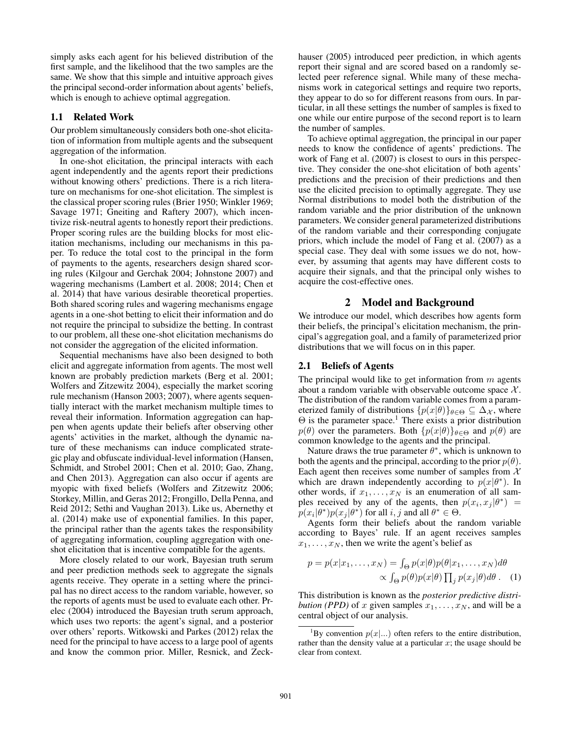simply asks each agent for his believed distribution of the first sample, and the likelihood that the two samples are the same. We show that this simple and intuitive approach gives the principal second-order information about agents' beliefs, which is enough to achieve optimal aggregation.

## 1.1 Related Work

Our problem simultaneously considers both one-shot elicitation of information from multiple agents and the subsequent aggregation of the information.

In one-shot elicitation, the principal interacts with each agent independently and the agents report their predictions without knowing others' predictions. There is a rich literature on mechanisms for one-shot elicitation. The simplest is the classical proper scoring rules (Brier 1950; Winkler 1969; Savage 1971; Gneiting and Raftery 2007), which incentivize risk-neutral agents to honestly report their predictions. Proper scoring rules are the building blocks for most elicitation mechanisms, including our mechanisms in this paper. To reduce the total cost to the principal in the form of payments to the agents, researchers design shared scoring rules (Kilgour and Gerchak 2004; Johnstone 2007) and wagering mechanisms (Lambert et al. 2008; 2014; Chen et al. 2014) that have various desirable theoretical properties. Both shared scoring rules and wagering mechanisms engage agents in a one-shot betting to elicit their information and do not require the principal to subsidize the betting. In contrast to our problem, all these one-shot elicitation mechanisms do not consider the aggregation of the elicited information.

Sequential mechanisms have also been designed to both elicit and aggregate information from agents. The most well known are probably prediction markets (Berg et al. 2001; Wolfers and Zitzewitz 2004), especially the market scoring rule mechanism (Hanson 2003; 2007), where agents sequentially interact with the market mechanism multiple times to reveal their information. Information aggregation can happen when agents update their beliefs after observing other agents' activities in the market, although the dynamic nature of these mechanisms can induce complicated strategic play and obfuscate individual-level information (Hansen, Schmidt, and Strobel 2001; Chen et al. 2010; Gao, Zhang, and Chen 2013). Aggregation can also occur if agents are myopic with fixed beliefs (Wolfers and Zitzewitz 2006; Storkey, Millin, and Geras 2012; Frongillo, Della Penna, and Reid 2012; Sethi and Vaughan 2013). Like us, Abernethy et al. (2014) make use of exponential families. In this paper, the principal rather than the agents takes the responsibility of aggregating information, coupling aggregation with oneshot elicitation that is incentive compatible for the agents.

More closely related to our work, Bayesian truth serum and peer prediction methods seek to aggregate the signals agents receive. They operate in a setting where the principal has no direct access to the random variable, however, so the reports of agents must be used to evaluate each other. Prelec (2004) introduced the Bayesian truth serum approach, which uses two reports: the agent's signal, and a posterior over others' reports. Witkowski and Parkes (2012) relax the need for the principal to have access to a large pool of agents and know the common prior. Miller, Resnick, and Zeckhauser (2005) introduced peer prediction, in which agents report their signal and are scored based on a randomly selected peer reference signal. While many of these mechanisms work in categorical settings and require two reports, they appear to do so for different reasons from ours. In particular, in all these settings the number of samples is fixed to one while our entire purpose of the second report is to learn the number of samples.

To achieve optimal aggregation, the principal in our paper needs to know the confidence of agents' predictions. The work of Fang et al. (2007) is closest to ours in this perspective. They consider the one-shot elicitation of both agents' predictions and the precision of their predictions and then use the elicited precision to optimally aggregate. They use Normal distributions to model both the distribution of the random variable and the prior distribution of the unknown parameters. We consider general parameterized distributions of the random variable and their corresponding conjugate priors, which include the model of Fang et al. (2007) as a special case. They deal with some issues we do not, however, by assuming that agents may have different costs to acquire their signals, and that the principal only wishes to acquire the cost-effective ones.

# 2 Model and Background

We introduce our model, which describes how agents form their beliefs, the principal's elicitation mechanism, the principal's aggregation goal, and a family of parameterized prior distributions that we will focus on in this paper.

#### 2.1 Beliefs of Agents

The principal would like to get information from *m* agents about a random variable with observable outcome space *X* . The distribution of the random variable comes from a parameterized family of distributions  $\{p(x|\theta)\}_{\theta \in \Theta} \subseteq \Delta_{\mathcal{X}}$ , where  $\Theta$  is the parameter space.<sup>1</sup> There exists a prior distribution *p*( $\theta$ ) over the parameters. Both  $\{p(x|\theta)\}_{\theta \in \Theta}$  and  $p(\theta)$  are common knowledge to the agents and the principal.

Nature draws the true parameter  $\theta^*$ , which is unknown to both the agents and the principal, according to the prior  $p(\theta)$ . Each agent then receives some number of samples from *X* which are drawn independently according to  $p(x|\theta^*)$ . In other words, if  $x_1, \ldots, x_N$  is an enumeration of all samples received by any of the agents, then  $p(x_i, x_j | \theta^*)$  =  $p(x_i|\theta^*)p(x_j|\theta^*)$  for all *i*, *j* and all  $\theta^* \in \Theta$ .

Agents form their beliefs about the random variable according to Bayes' rule. If an agent receives samples  $x_1, \ldots, x_N$ , then we write the agent's belief as

$$
p = p(x|x_1,...,x_N) = \int_{\Theta} p(x|\theta)p(\theta|x_1,...,x_N)d\theta
$$
  
 
$$
\propto \int_{\Theta} p(\theta)p(x|\theta) \prod_j p(x_j|\theta)d\theta.
$$
 (1)

This distribution is known as the *posterior predictive distribution (PPD)* of *x* given samples  $x_1, \ldots, x_N$ , and will be a central object of our analysis.

<sup>&</sup>lt;sup>1</sup>By convention  $p(x|...)$  often refers to the entire distribution, rather than the density value at a particular *x*; the usage should be clear from context.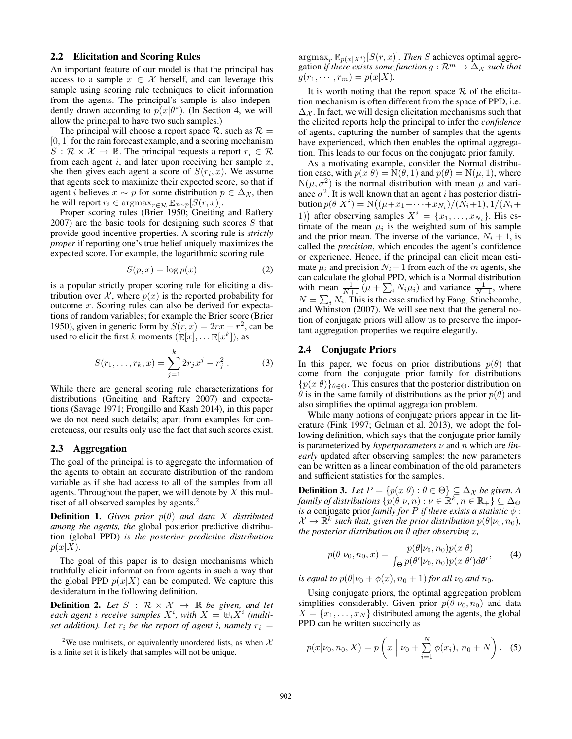## 2.2 Elicitation and Scoring Rules

An important feature of our model is that the principal has access to a sample  $x \in \mathcal{X}$  herself, and can leverage this sample using scoring rule techniques to elicit information from the agents. The principal's sample is also independently drawn according to  $p(x|\theta^*)$ . (In Section 4, we will allow the principal to have two such samples.)

The principal will choose a report space  $R$ , such as  $R =$ [0*,* 1] for the rain forecast example, and a scoring mechanism  $S: \mathcal{R} \times \mathcal{X} \to \mathbb{R}$ . The principal requests a report  $r_i \in \mathcal{R}$ from each agent *i*, and later upon receiving her sample *x*, she then gives each agent a score of  $S(r_i, x)$ . We assume that agents seek to maximize their expected score, so that if agent *i* believes  $x \sim p$  for some distribution  $p \in \Delta_{\mathcal{X}}$ , then he will report  $r_i \in \text{argmax}_{r \in \mathcal{R}} \mathbb{E}_{x \sim p}[S(r, x)]$ .<br>Proper scoring rules (Brier 1950; Gneiting and Raftery

2007) are the basic tools for designing such scores *S* that provide good incentive properties. A scoring rule is *strictly proper* if reporting one's true belief uniquely maximizes the expected score. For example, the logarithmic scoring rule

$$
S(p, x) = \log p(x) \tag{2}
$$

is a popular strictly proper scoring rule for eliciting a distribution over  $\mathcal{X}$ , where  $p(x)$  is the reported probability for outcome *x*. Scoring rules can also be derived for expectations of random variables; for example the Brier score (Brier 1950), given in generic form by  $S(r, x) = 2rx - r^2$ , can be used to elicit the first *k* moments  $(\mathbb{E}[x], \dots \mathbb{E}[x^k])$ , as

$$
S(r_1, \dots, r_k, x) = \sum_{j=1}^k 2r_j x^j - r_j^2.
$$
 (3)

While there are general scoring rule characterizations for distributions (Gneiting and Raftery 2007) and expectations (Savage 1971; Frongillo and Kash 2014), in this paper we do not need such details; apart from examples for concreteness, our results only use the fact that such scores exist.

### 2.3 Aggregation

The goal of the principal is to aggregate the information of the agents to obtain an accurate distribution of the random variable as if she had access to all of the samples from all agents. Throughout the paper, we will denote by *X* this multiset of all observed samples by agents.<sup>2</sup>

**Definition 1.** Given prior  $p(\theta)$  and data *X* distributed *among the agents, the* global posterior predictive distribution (global PPD) *is the posterior predictive distribution*  $p(x|X)$ .

The goal of this paper is to design mechanisms which truthfully elicit information from agents in such a way that the global PPD  $p(x|X)$  can be computed. We capture this desideratum in the following definition.

**Definition 2.** Let  $S : \mathcal{R} \times \mathcal{X} \rightarrow \mathbb{R}$  be given, and let *each agent i receive samples*  $X^i$ , with  $X = \biguplus_i X^i$  (multi*set addition). Let*  $r_i$  *be the report of agent i, namely*  $r_i =$ 

 $\argmax_r \mathbb{E}_{p(x|X_i)}[S(r,x)]$ *. Then S* achieves optimal aggregation *if there exists some function*  $g : \mathcal{R}^m \to \Delta_{\mathcal{X}}$  such that  $g(r_1, \dots, r_m) = p(x|X)$ .

It is worth noting that the report space  $R$  of the elicitation mechanism is often different from the space of PPD, i.e.  $\Delta_{\mathcal{X}}$ . In fact, we will design elicitation mechanisms such that the elicited reports help the principal to infer the *confidence* of agents, capturing the number of samples that the agents have experienced, which then enables the optimal aggregation. This leads to our focus on the conjugate prior family.

As a motivating example, consider the Normal distribution case, with  $p(x|\theta) = N(\theta, 1)$  and  $p(\theta) = N(\mu, 1)$ , where  $N(\mu, \sigma^2)$  is the normal distribution with mean  $\mu$  and variance  $\sigma^2$ . It is well known that an agent *i* has posterior distribution  $p(\theta|X^i) = N((\mu + x_1 + \cdots + x_{N_i})/(N_i + 1), 1/(N_i +$ 1)) after observing samples  $X^i = \{x_1, \ldots, x_{N_i}\}$ . His estimate of the mean  $\mu_i$  is the weighted sum of his sample and the prior mean. The inverse of the variance,  $N_i + 1$ , is called the *precision*, which encodes the agent's confidence or experience. Hence, if the principal can elicit mean estimate  $\mu_i$  and precision  $N_i + 1$  from each of the *m* agents, she can calculate the global PPD, which is a Normal distribution with mean  $\frac{1}{N+1}$   $(\mu + \sum_i N_i \mu_i)$  and variance  $\frac{1}{N+1}$ , where  $N = \sum_i N_i$ . This is the case studied by Fang, Stinchcombe, and Whinston (2007). We will see next that the general notion of conjugate priors will allow us to preserve the important aggregation properties we require elegantly.

### 2.4 Conjugate Priors

In this paper, we focus on prior distributions  $p(\theta)$  that come from the conjugate prior family for distributions  ${p(x|\theta)}_{\theta \in \Theta}$ . This ensures that the posterior distribution on  $\theta$  is in the same family of distributions as the prior  $p(\theta)$  and also simplifies the optimal aggregation problem.

While many notions of conjugate priors appear in the literature (Fink 1997; Gelman et al. 2013), we adopt the following definition, which says that the conjugate prior family is parameterized by *hyperparameters*  $\nu$  and  $n$  which are *linearly* updated after observing samples: the new parameters can be written as a linear combination of the old parameters and sufficient statistics for the samples.

**Definition 3.** Let  $P = \{p(x|\theta) : \theta \in \Theta\} \subseteq \Delta_{\mathcal{X}}$  be given. A *family of distributions*  $\{p(\theta|\nu, n) : \nu \in \mathbb{R}^k, n \in \mathbb{R}_+\} \subseteq \Delta_{\Theta}$ *is a* conjugate prior *family for*  $P$  *if there exists a statistic*  $\phi$ :  $\mathcal{X} \to \mathbb{R}^k$  *such that, given the prior distribution*  $p(\theta | \nu_0, n_0)$ *, the posterior distribution on*  $\theta$  *after observing x*,

$$
p(\theta|\nu_0, n_0, x) = \frac{p(\theta|\nu_0, n_0)p(x|\theta)}{\int_{\Theta} p(\theta'|\nu_0, n_0)p(x|\theta')d\theta'},
$$
 (4)

*is equal to*  $p(\theta | \nu_0 + \phi(x), n_0 + 1)$  *for all*  $\nu_0$  *and*  $n_0$ *.* 

Using conjugate priors, the optimal aggregation problem simplifies considerably. Given prior  $p(\theta|\nu_0, n_0)$  and data  $X = \{x_1, \ldots, x_N\}$  distributed among the agents, the global PPD can be written succinctly as

$$
p(x|\nu_0, n_0, X) = p\left(x \mid \nu_0 + \sum_{i=1}^{N} \phi(x_i), n_0 + N\right).
$$
 (5)

<sup>&</sup>lt;sup>2</sup>We use multisets, or equivalently unordered lists, as when  $\chi$ is a finite set it is likely that samples will not be unique.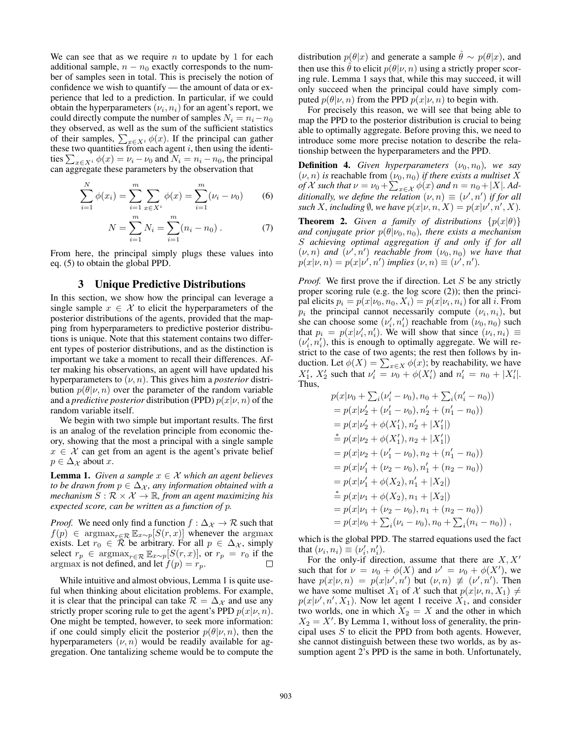We can see that as we require *n* to update by 1 for each additional sample,  $n - n_0$  exactly corresponds to the number of samples seen in total. This is precisely the notion of confidence we wish to quantify — the amount of data or experience that led to a prediction. In particular, if we could obtain the hyperparameters  $(\nu_i, n_i)$  for an agent's report, we could directly compute the number of samples  $N_i = n_i - n_0$ they observed, as well as the sum of the sufficient statistics of their samples,  $\sum_{x \in X^i} \phi(x)$ . If the principal can gather these two quantities from each agent  $i$ , then using the identities  $\sum_{x \in X^i} \phi(x) = \nu_i - \nu_0$  and  $N_i = n_i - n_0$ , the principal can aggregate these parameters by the observation that

$$
\sum_{i=1}^{N} \phi(x_i) = \sum_{i=1}^{m} \sum_{x \in X^i} \phi(x) = \sum_{i=1}^{m} (\nu_i - \nu_0)
$$
 (6)

$$
N = \sum_{i=1}^{m} N_i = \sum_{i=1}^{m} (n_i - n_0).
$$
 (7)

From here, the principal simply plugs these values into eq. (5) to obtain the global PPD.

# 3 Unique Predictive Distributions

In this section, we show how the principal can leverage a single sample  $x \in \mathcal{X}$  to elicit the hyperparameters of the posterior distributions of the agents, provided that the mapping from hyperparameters to predictive posterior distributions is unique. Note that this statement contains two different types of posterior distributions, and as the distinction is important we take a moment to recall their differences. After making his observations, an agent will have updated his hyperparameters to  $(\nu, n)$ . This gives him a *posterior* distribution  $p(\theta|\nu, n)$  over the parameter of the random variable and a *predictive posterior* distribution (PPD)  $p(x|\nu, n)$  of the random variable itself.

We begin with two simple but important results. The first is an analog of the revelation principle from economic theory, showing that the most a principal with a single sample  $x \in \mathcal{X}$  can get from an agent is the agent's private belief  $p \in \Delta_{\mathcal{X}}$  about *x*.

**Lemma 1.** *Given a sample*  $x \in \mathcal{X}$  *which an agent believes to be drawn from*  $p \in \Delta_{\mathcal{X}}$ , any information obtained with a *mechanism*  $S: \mathcal{R} \times \mathcal{X} \rightarrow \mathbb{R}$ *, from an agent maximizing his expected score, can be written as a function of p.*

*Proof.* We need only find a function  $f : \Delta_{\mathcal{X}} \to \mathcal{R}$  such that  $f(p) \in \text{argmax}_{r \in \mathcal{R}} \mathbb{E}_{x \sim p}[S(r, x)]$  whenever the argmax exists. Let  $r_0 \in \mathcal{R}$  be arbitrary. For all  $p \in \Delta_{\mathcal{X}}$ , simply select  $r_p \in \text{argmax}_{r \in \mathcal{R}} \mathbb{E}_{x \sim p}[S(r, x)]$ , or  $r_p = r_0$  if the argmax is not defined, and let  $f(p) = r_p$ .

While intuitive and almost obvious, Lemma 1 is quite useful when thinking about elicitation problems. For example, it is clear that the principal can take  $\mathcal{R} = \Delta_{\mathcal{X}}$  and use any strictly proper scoring rule to get the agent's PPD  $p(x|\nu, n)$ . One might be tempted, however, to seek more information: if one could simply elicit the posterior  $p(\theta|\nu, n)$ , then the hyperparameters  $(\nu, n)$  would be readily available for aggregation. One tantalizing scheme would be to compute the

distribution  $p(\theta|x)$  and generate a sample  $\hat{\theta} \sim p(\theta|x)$ , and then use this  $\theta$  to elicit  $p(\theta|\nu, n)$  using a strictly proper scoring rule. Lemma 1 says that, while this may succeed, it will only succeed when the principal could have simply computed  $p(\theta|\nu, n)$  from the PPD  $p(x|\nu, n)$  to begin with.

For precisely this reason, we will see that being able to map the PPD to the posterior distribution is crucial to being able to optimally aggregate. Before proving this, we need to introduce some more precise notation to describe the relationship between the hyperparameters and the PPD.

**Definition 4.** *Given hyperparameters*  $(\nu_0, n_0)$ *, we say*  $(\nu, n)$  *is* reachable from  $(\nu_0, n_0)$  *if there exists a multiset X of X* such that  $\nu = \nu_0 + \sum_{x \in \mathcal{X}} \phi(x)$  and  $n = n_0 + |X|$ . Ad*ditionally, we define the relation*  $(\nu, n) \equiv (\nu', n')$  *if for all such X, including*  $\emptyset$ *, we have*  $p(x|\nu, n, X) = p(x|\nu', n', X)$ *.* 

**Theorem 2.** *Given a family of distributions*  $\{p(x|\theta)\}$ *and conjugate prior*  $p(\theta | \nu_0, n_0)$ *, there exists a mechanism S achieving optimal aggregation if and only if for all*  $(\nu, n)$  and  $(\nu', n')$  reachable from  $(\nu_0, n_0)$  we have that  $p(x|\nu, n) = p(x|\nu', n')$  implies  $(\nu, n) \equiv (\nu', n').$ 

*Proof.* We first prove the if direction. Let *S* be any strictly proper scoring rule (e.g. the log score (2)); then the principal elicits  $p_i = p(x | \nu_0, n_0, X_i) = p(x | \nu_i, n_i)$  for all *i*. From  $p_i$  the principal cannot necessarily compute  $(\nu_i, n_i)$ , but she can choose some  $(\nu'_i, n'_i)$  reachable from  $(\nu_0, n_0)$  such that  $p_i = p(x | \nu'_i, n'_i)$ . We will show that since  $(\nu_i, n_i) \equiv$  $(\nu'_i, n'_i)$ , this is enough to optimally aggregate. We will restrict to the case of two agents; the rest then follows by induction. Let  $\phi(X) = \sum_{x \in X} \phi(x)$ ; by reachability, we have  $X'_1$ ,  $X'_2$  such that  $\nu'_i = \nu_0 + \phi(X'_i)$  and  $n'_i = n_0 + |X'_i|$ . Thus,

$$
p(x|\nu_0 + \sum_i (\nu'_i - \nu_0), n_0 + \sum_i (n'_i - n_0))
$$
  
=  $p(x|\nu'_2 + (\nu'_1 - \nu_0), n'_2 + (n'_1 - n_0))$   
=  $p(x|\nu'_2 + \phi(X'_1), n'_2 + |X'_1|)$   

$$
\stackrel{*}{=} p(x|\nu_2 + \phi(X'_1), n_2 + |X'_1|)
$$
  
=  $p(x|\nu_2 + (\nu'_1 - \nu_0), n_2 + (n'_1 - n_0))$   
=  $p(x|\nu'_1 + (\nu_2 - \nu_0), n'_1 + (n_2 - n_0))$   
=  $p(x|\nu'_1 + \phi(X_2), n'_1 + |X_2|)$   

$$
\stackrel{*}{=} p(x|\nu_1 + \phi(X_2), n_1 + |X_2|)
$$
  
=  $p(x|\nu_1 + (\nu_2 - \nu_0), n_1 + (n_2 - n_0))$   
=  $p(x|\nu_0 + \sum_i (\nu_i - \nu_0), n_0 + \sum_i (n_i - n_0))$ ,

which is the global PPD. The starred equations used the fact that  $(\nu_i, n_i) \equiv (\nu'_i, n'_i)$ .

For the only-if direction, assume that there are  $X, X'$ such that for  $\nu = \nu_0 + \phi(X)$  and  $\nu' = \nu_0 + \phi(X')$ , we have  $p(x|\nu, n) = p(x|\nu', n')$  but  $(\nu, n) \neq (\nu', n')$ . Then we have some multiset  $X_1$  of  $X$  such that  $p(x|\nu, n, X_1) \neq$  $p(x|\nu', n', X_1)$ . Now let agent 1 receive  $X_1$ , and consider two worlds, one in which  $X_2 = X$  and the other in which  $X_2 = X'$ . By Lemma 1, without loss of generality, the principal uses *S* to elicit the PPD from both agents. However, she cannot distinguish between these two worlds, as by assumption agent 2's PPD is the same in both. Unfortunately,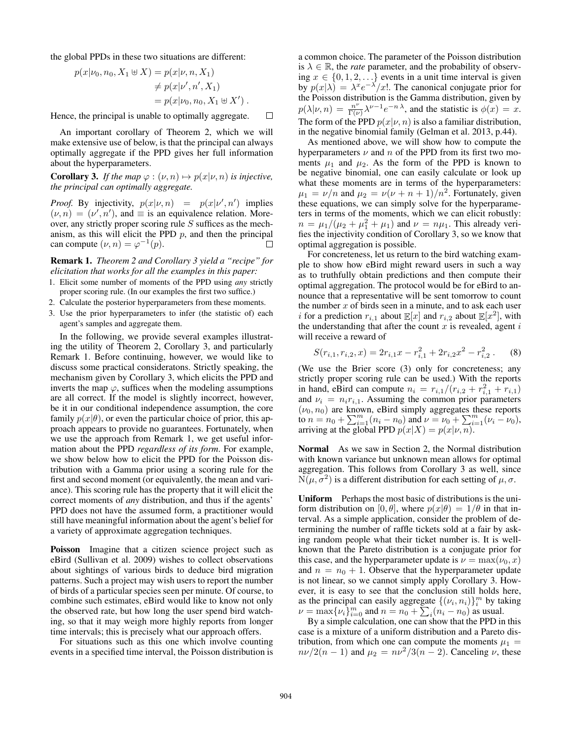the global PPDs in these two situations are different:

$$
p(x|\nu_0, n_0, X_1 \boxplus X) = p(x|\nu, n, X_1) \n\neq p(x|\nu', n', X_1) \n= p(x|\nu_0, n_0, X_1 \boxplus X').
$$

 $\Box$ Hence, the principal is unable to optimally aggregate.

An important corollary of Theorem 2, which we will make extensive use of below, is that the principal can always optimally aggregate if the PPD gives her full information about the hyperparameters.

**Corollary 3.** *If the map*  $\varphi : (\nu, n) \mapsto p(x|\nu, n)$  *is injective, the principal can optimally aggregate.*

*Proof.* By injectivity,  $p(x|\nu, n) = p(x|\nu', n')$  implies  $(\nu, n) = (\nu', n')$ , and  $\equiv$  is an equivalence relation. Moreover, any strictly proper scoring rule *S* suffices as the mechanism, as this will elicit the PPD *p*, and then the principal can compute  $(\nu, n) = \varphi^{-1}(p)$ .  $\Box$ 

Remark 1. *Theorem 2 and Corollary 3 yield a "recipe" for elicitation that works for all the examples in this paper:*

- 1. Elicit some number of moments of the PPD using *any* strictly proper scoring rule. (In our examples the first two suffice.)
- 2. Calculate the posterior hyperparameters from these moments.
- 3. Use the prior hyperparameters to infer (the statistic of) each agent's samples and aggregate them.

In the following, we provide several examples illustrating the utility of Theorem 2, Corollary 3, and particularly Remark 1. Before continuing, however, we would like to discuss some practical consideratons. Strictly speaking, the mechanism given by Corollary 3, which elicits the PPD and inverts the map  $\varphi$ , suffices when the modeling assumptions are all correct. If the model is slightly incorrect, however, be it in our conditional independence assumption, the core family  $p(x|\theta)$ , or even the particular choice of prior, this approach appears to provide no guarantees. Fortunately, when we use the approach from Remark 1, we get useful information about the PPD *regardless of its form*. For example, we show below how to elicit the PPD for the Poisson distribution with a Gamma prior using a scoring rule for the first and second moment (or equivalently, the mean and variance). This scoring rule has the property that it will elicit the correct moments of *any* distribution, and thus if the agents' PPD does not have the assumed form, a practitioner would still have meaningful information about the agent's belief for a variety of approximate aggregation techniques.

Poisson Imagine that a citizen science project such as eBird (Sullivan et al. 2009) wishes to collect observations about sightings of various birds to deduce bird migration patterns. Such a project may wish users to report the number of birds of a particular species seen per minute. Of course, to combine such estimates, eBird would like to know not only the observed rate, but how long the user spend bird watching, so that it may weigh more highly reports from longer time intervals; this is precisely what our approach offers.

For situations such as this one which involve counting events in a specified time interval, the Poisson distribution is

a common choice. The parameter of the Poisson distribution is  $\lambda \in \mathbb{R}$ , the *rate* parameter, and the probability of observing  $x \in \{0, 1, 2, \ldots\}$  events in a unit time interval is given by  $p(x|\lambda) = \lambda^x e^{-\lambda}/x!$ . The canonical conjugate prior for the Poisson distribution is the Gamma distribution, given by  $p(\lambda | \nu, n) = \frac{n^{\nu}}{\Gamma(\nu)} \lambda^{\nu-1} e^{-n \lambda}$ , and the statistic is  $\phi(x) = x$ . The form of the PPD  $p(x|\nu, n)$  is also a familiar distribution, in the negative binomial family (Gelman et al. 2013, p.44).

As mentioned above, we will show how to compute the hyperparameters  $\nu$  and  $n$  of the PPD from its first two moments  $\mu_1$  and  $\mu_2$ . As the form of the PPD is known to be negative binomial, one can easily calculate or look up what these moments are in terms of the hyperparameters:  $\mu_1 = \nu/n$  and  $\mu_2 = \nu(\nu + n + 1)/n^2$ . Fortunately, given these equations, we can simply solve for the hyperparameters in terms of the moments, which we can elicit robustly:  $n = \mu_1/(\mu_2 + \mu_1^2 + \mu_1)$  and  $\nu = n\mu_1$ . This already verifies the injectivity condition of Corollary 3, so we know that optimal aggregation is possible.

For concreteness, let us return to the bird watching example to show how eBird might reward users in such a way as to truthfully obtain predictions and then compute their optimal aggregation. The protocol would be for eBird to announce that a representative will be sent tomorrow to count the number *x* of birds seen in a minute, and to ask each user *i* for a prediction  $r_{i,1}$  about  $\mathbb{E}[x]$  and  $r_{i,2}$  about  $\mathbb{E}[x^2]$ , with the understanding that after the count *x* is revealed, agent *i* will receive a reward of

$$
S(r_{i,1}, r_{i,2}, x) = 2r_{i,1}x - r_{i,1}^2 + 2r_{i,2}x^2 - r_{i,2}^2.
$$
 (8)

(We use the Brier score (3) only for concreteness; any strictly proper scoring rule can be used.) With the reports in hand, eBird can compute  $n_i = r_{i,1}/(r_{i,2} + r_{i,1}^2 + r_{i,1})$ and  $\nu_i = n_i r_{i,1}$ . Assuming the common prior parameters  $(\nu_0, n_0)$  are known, eBird simply aggregates these reports to  $n = n_0 + \sum_{i=1}^m (n_i - n_0)$  and  $\nu = \nu_0 + \sum_{i=1}^m (\nu_i - \nu_0)$ , arriving at the global PPD  $p(x|X) = p(x|\nu, n)$ .

Normal As we saw in Section 2, the Normal distribution with known variance but unknown mean allows for optimal aggregation. This follows from Corollary 3 as well, since  $N(\mu, \sigma^2)$  is a different distribution for each setting of  $\mu, \sigma$ .

Uniform Perhaps the most basic of distributions is the uniform distribution on [0,  $\theta$ ], where  $p(x|\theta) = 1/\theta$  in that interval. As a simple application, consider the problem of determining the number of raffle tickets sold at a fair by asking random people what their ticket number is. It is wellknown that the Pareto distribution is a conjugate prior for this case, and the hyperparameter update is  $\nu = \max(\nu_0, x)$ and  $n = n_0 + 1$ . Observe that the hyperparameter update is not linear, so we cannot simply apply Corollary 3. However, it is easy to see that the conclusion still holds here, as the principal can easily aggregate  $\{(\nu_i, n_i)\}_{i=1}^m$  by taking  $\nu = \max\{\nu_i\}_{i=0}^m$  and  $n = n_0 + \sum_i(n_i - n_0)$  as usual.

By a simple calculation, one can show that the PPD in this case is a mixture of a uniform distribution and a Pareto distribution, from which one can compute the moments  $\mu_1$  =  $n\nu/2(n-1)$  and  $\mu_2 = n\nu^2/3(n-2)$ . Canceling  $\nu$ , these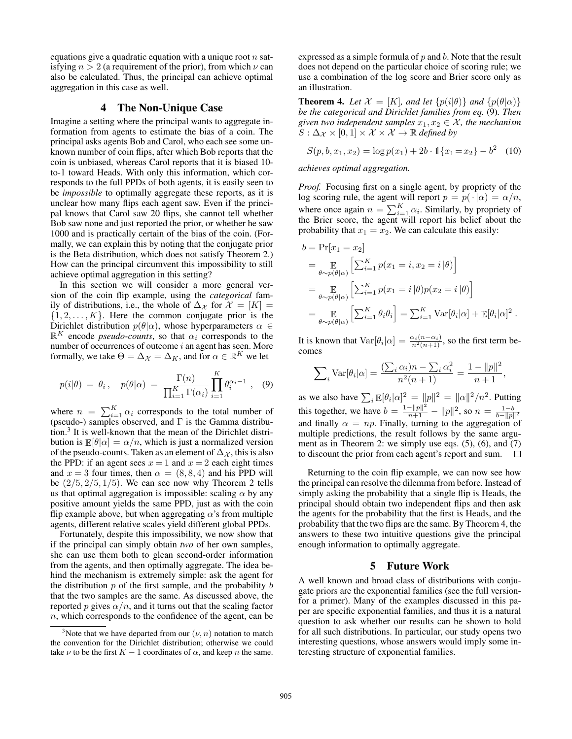equations give a quadratic equation with a unique root *n* satisfying  $n > 2$  (a requirement of the prior), from which  $\nu$  can also be calculated. Thus, the principal can achieve optimal aggregation in this case as well.

# 4 The Non-Unique Case

Imagine a setting where the principal wants to aggregate information from agents to estimate the bias of a coin. The principal asks agents Bob and Carol, who each see some unknown number of coin flips, after which Bob reports that the coin is unbiased, whereas Carol reports that it is biased 10 to-1 toward Heads. With only this information, which corresponds to the full PPDs of both agents, it is easily seen to be *impossible* to optimally aggregate these reports, as it is unclear how many flips each agent saw. Even if the principal knows that Carol saw 20 flips, she cannot tell whether Bob saw none and just reported the prior, or whether he saw 1000 and is practically certain of the bias of the coin. (Formally, we can explain this by noting that the conjugate prior is the Beta distribution, which does not satisfy Theorem 2.) How can the principal circumvent this impossibility to still achieve optimal aggregation in this setting?

In this section we will consider a more general version of the coin flip example, using the *categorical* family of distributions, i.e., the whole of  $\Delta_{\mathcal{X}}$  for  $\mathcal{X} = [K] =$  $\{1, 2, \ldots, K\}$ . Here the common conjugate prior is the Dirichlet distribution  $p(\theta|\alpha)$ , whose hyperparameters  $\alpha \in$  $\mathbb{R}^K$  encode *pseudo-counts*, so that  $\alpha_i$  corresponds to the number of occurrences of outcome *i* an agent has seen. More formally, we take  $\Theta = \Delta_{\mathcal{X}} = \Delta_K$ , and for  $\alpha \in \mathbb{R}^K$  we let

$$
p(i|\theta) = \theta_i, \quad p(\theta|\alpha) = \frac{\Gamma(n)}{\prod_{i=1}^K \Gamma(\alpha_i)} \prod_{i=1}^K \theta_i^{\alpha_i - 1}, \quad (9)
$$

where  $n = \sum_{i=1}^{K} \alpha_i$  corresponds to the total number of (pseudo-) samples observed, and  $\Gamma$  is the Gamma distribution.<sup>3</sup> It is well-known that the mean of the Dirichlet distribution is  $\mathbb{E}[\theta|\alpha] = \alpha/n$ , which is just a normalized version of the pseudo-counts. Taken as an element of  $\Delta_{\mathcal{X}}$ , this is also the PPD: if an agent sees  $x = 1$  and  $x = 2$  each eight times and  $x = 3$  four times, then  $\alpha = (8, 8, 4)$  and his PPD will be  $(2/5, 2/5, 1/5)$ . We can see now why Theorem 2 tells us that optimal aggregation is impossible: scaling  $\alpha$  by any positive amount yields the same PPD, just as with the coin flip example above, but when aggregating  $\alpha$ 's from multiple agents, different relative scales yield different global PPDs.

Fortunately, despite this impossibility, we now show that if the principal can simply obtain *two* of her own samples, she can use them both to glean second-order information from the agents, and then optimally aggregate. The idea behind the mechanism is extremely simple: ask the agent for the distribution *p* of the first sample, and the probability *b* that the two samples are the same. As discussed above, the reported *p* gives  $\alpha/n$ , and it turns out that the scaling factor *n*, which corresponds to the confidence of the agent, can be expressed as a simple formula of *p* and *b*. Note that the result does not depend on the particular choice of scoring rule; we use a combination of the log score and Brier score only as an illustration.

**Theorem 4.** Let  $\mathcal{X} = [K]$ , and let  $\{p(i|\theta)\}$  and  $\{p(\theta|\alpha)\}$ *be the categorical and Dirichlet families from eq.* (9)*. Then given two independent samples*  $x_1, x_2 \in \mathcal{X}$ *, the mechanism*  $S: \Delta_{\mathcal{X}} \times [0,1] \times \mathcal{X} \times \mathcal{X} \rightarrow \mathbb{R}$  *defined by* 

$$
S(p, b, x_1, x_2) = \log p(x_1) + 2b \cdot \mathbb{1}\{x_1 = x_2\} - b^2 \quad (10)
$$

*achieves optimal aggregation.*

*Proof.* Focusing first on a single agent, by propriety of the log scoring rule, the agent will report  $p = p(\cdot | \alpha) = \alpha/n$ , where once again  $n = \sum_{i=1}^{K} \alpha_i$ . Similarly, by propriety of the Brier score, the agent will report his belief about the probability that  $x_1 = x_2$ . We can calculate this easily:

$$
b = \Pr[x_1 = x_2]
$$
  
=  $\underset{\theta \sim p(\theta|\alpha)}{\mathbb{E}} \left[ \sum_{i=1}^K p(x_1 = i, x_2 = i | \theta) \right]$   
=  $\underset{\theta \sim p(\theta|\alpha)}{\mathbb{E}} \left[ \sum_{i=1}^K p(x_1 = i | \theta) p(x_2 = i | \theta) \right]$   
=  $\underset{\theta \sim p(\theta|\alpha)}{\mathbb{E}} \left[ \sum_{i=1}^K \theta_i \theta_i \right] = \sum_{i=1}^K \text{Var}[\theta_i|\alpha] + \mathbb{E}[\theta_i|\alpha]^2$ .

It is known that  $\text{Var}[\theta_i|\alpha] = \frac{\alpha_i(n-\alpha_i)}{n^2(n+1)}$ , so the first term becomes

$$
\sum_{i} \text{Var}[\theta_i | \alpha] = \frac{(\sum_{i} \alpha_i) n - \sum_{i} \alpha_i^2}{n^2 (n+1)} = \frac{1 - ||p||^2}{n+1},
$$

as we also have  $\sum_i \mathbb{E}[\theta_i|\alpha]^2 = ||p||^2 = ||\alpha||^2/n^2$ . Putting this together, we have  $b = \frac{1 - ||p||^2}{n+1} - ||p||^2$ , so  $n = \frac{1 - b}{b - ||p||^2}$  and finally  $\alpha = np$ . Finally, turning to the aggregation of multiple predictions, the result follows by the same argument as in Theorem 2: we simply use eqs. (5), (6), and (7) to discount the prior from each agent's report and sum. n.

Returning to the coin flip example, we can now see how the principal can resolve the dilemma from before. Instead of simply asking the probability that a single flip is Heads, the principal should obtain two independent flips and then ask the agents for the probability that the first is Heads, and the probability that the two flips are the same. By Theorem 4, the answers to these two intuitive questions give the principal enough information to optimally aggregate.

### 5 Future Work

A well known and broad class of distributions with conjugate priors are the exponential families (see the full versionfor a primer). Many of the examples discussed in this paper are specific exponential families, and thus it is a natural question to ask whether our results can be shown to hold for all such distributions. In particular, our study opens two interesting questions, whose answers would imply some interesting structure of exponential families.

<sup>&</sup>lt;sup>3</sup>Note that we have departed from our  $(\nu, n)$  notation to match the convention for the Dirichlet distribution; otherwise we could take  $\nu$  to be the first  $K - 1$  coordinates of  $\alpha$ , and keep *n* the same.